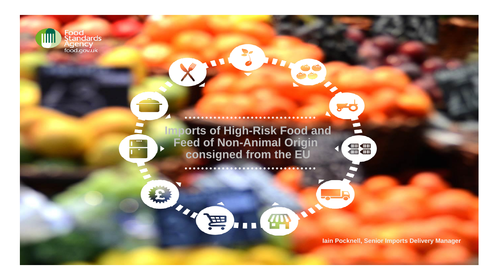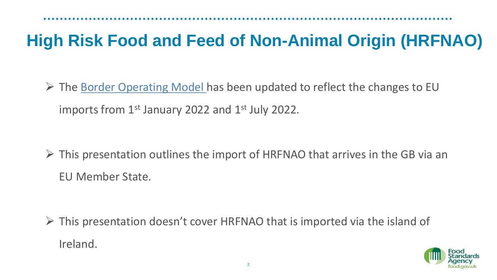➢ The [Border Operating Model](https://www.gov.uk/government/publications/the-border-operating-model) has been updated to reflect the changes to EU imports from  $1<sup>st</sup>$  January 2022 and  $1<sup>st</sup>$  July 2022.

 $\triangleright$  This presentation outlines the import of HRFNAO that arrives in the GB via an EU Member State.

 $\triangleright$  This presentation doesn't cover HRFNAO that is imported via the island of Ireland.

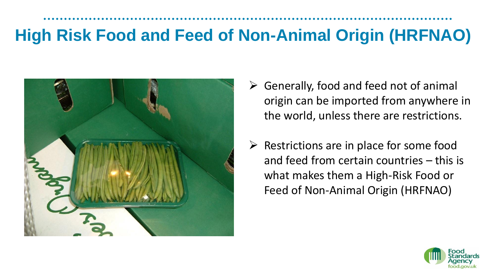

- $\triangleright$  Generally, food and feed not of animal origin can be imported from anywhere in the world, unless there are restrictions.
- $\triangleright$  Restrictions are in place for some food and feed from certain countries – this is what makes them a High-Risk Food or Feed of Non-Animal Origin (HRFNAO)

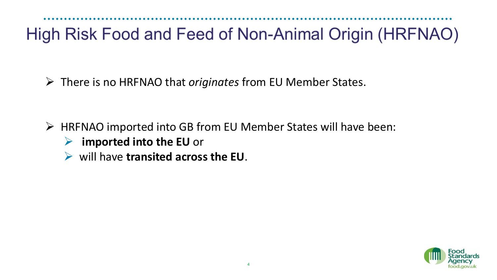➢ There is no HRFNAO that *originates* from EU Member States.

- ➢ HRFNAO imported into GB from EU Member States will have been:
	- ➢ **imported into the EU** or
	- ➢ will have **transited across the EU**.

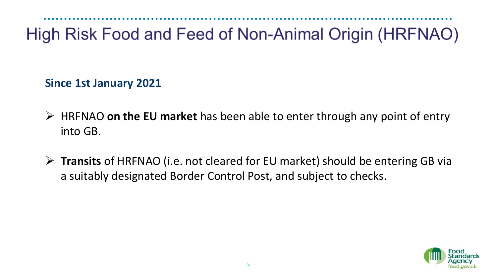**Since 1st January 2021**

- ➢ HRFNAO **on the EU market** has been able to enter through any point of entry into GB.
- ➢ **Transits** of HRFNAO (i.e. not cleared for EU market) should be entering GB via a suitably designated Border Control Post, and subject to checks.

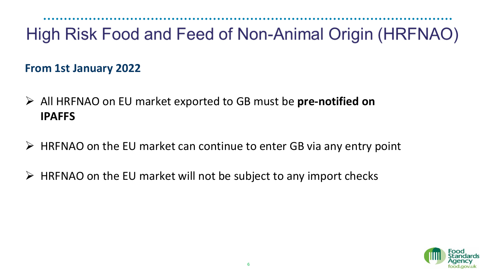**From 1st January 2022**

- ➢ All HRFNAO on EU market exported to GB must be **pre-notified on IPAFFS**
- $\triangleright$  HRFNAO on the EU market can continue to enter GB via any entry point
- $\triangleright$  HRFNAO on the EU market will not be subject to any import checks

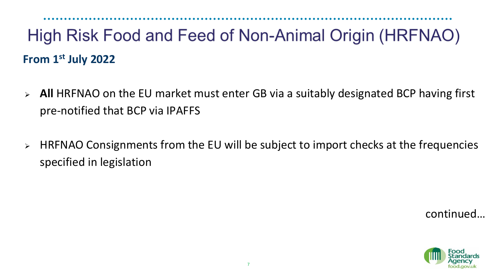## High Risk Food and Feed of Non-Animal Origin (HRFNAO) **From 1st July 2022**

- ➢ **All** HRFNAO on the EU market must enter GB via a suitably designated BCP having first pre-notified that BCP via IPAFFS
- ➢ HRFNAO Consignments from the EU will be subject to import checks at the frequencies specified in legislation

continued…

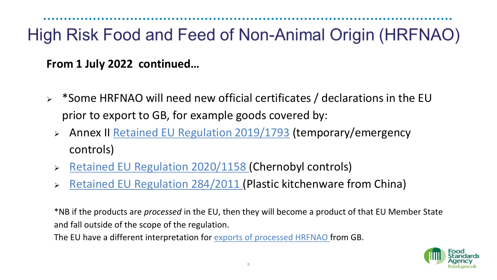**From 1 July 2022 continued…** 

- ➢ \*Some HRFNAO will need new official certificates / declarations in the EU prior to export to GB, for example goods covered by:
	- ➢ Annex II [Retained EU Regulation 2019/1793](https://www.legislation.gov.uk/all?title=2019%2F1793) (temporary/emergency controls)
	- ➢ [Retained EU Regulation 2020/1158](https://www.legislation.gov.uk/all?title=2020%2F1158) (Chernobyl controls)
	- ➢ [Retained EU Regulation 284/2011](https://www.legislation.gov.uk/all?title=284%2F2011) (Plastic kitchenware from China)

\*NB if the products are *processed* in the EU, then they will become a product of that EU Member State and fall outside of the scope of the regulation.

The EU have a different interpretation for [exports of processed HRFNAO f](https://www.gov.uk/guidance/exporting-or-moving-high-risk-food-and-feed-of-non-animal-origin-to-the-eu-or-northern-ireland)rom GB.

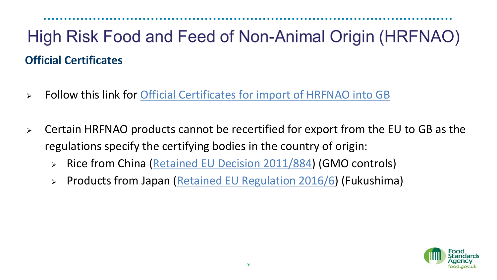### High Risk Food and Feed of Non-Animal Origin (HRFNAO) **Official Certificates**

- ➢ Follow this link for [Official Certificates for import of HRFNAO into GB](https://www.gov.uk/government/publications/high-risk-food-and-feed-not-of-animal-origin-hrfnao-health-certificates)
- ➢ Certain HRFNAO products cannot be recertified for export from the EU to GB as the regulations specify the certifying bodies in the country of origin:
	- ➢ Rice from China [\(Retained EU Decision 2011/884\)](https://www.legislation.gov.uk/all?title=2011%2F884) (GMO controls)
	- ➢ Products from Japan ([Retained EU Regulation 2016/6\)](https://www.legislation.gov.uk/all?title=2016%2F6) (Fukushima)